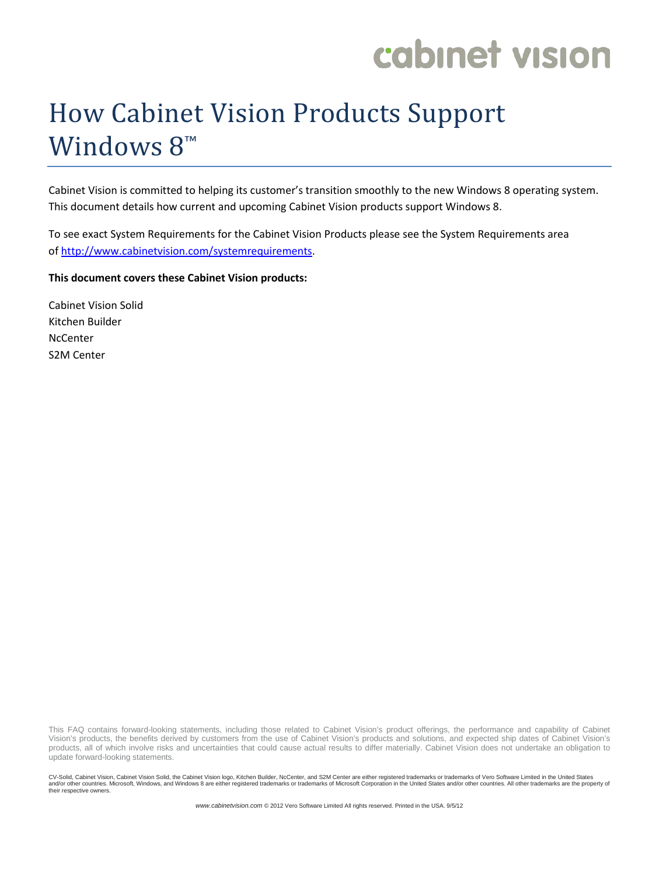# How Cabinet Vision Products Support Windows 8<sup>™</sup>

Cabinet Vision is committed to helping its customer's transition smoothly to the new Windows 8 operating system. This document details how current and upcoming Cabinet Vision products support Windows 8.

To see exact System Requirements for the Cabinet Vision Products please see the System Requirements area of [http://www.cabinetvision.com/systemrequirements.](http://www.cabinetvision.com/systemrequirements)

#### **This document covers these Cabinet Vision products:**

Cabinet Vision Solid Kitchen Builder **NcCenter** S2M Center

This FAQ contains forward-looking statements, including those related to Cabinet Vision's product offerings, the performance and capability of Cabinet Vision's products, the benefits derived by customers from the use of Cabinet Vision's products and solutions, and expected ship dates of Cabinet Vision's products, all of which involve risks and uncertainties that could cause actual results to differ materially. Cabinet Vision does not undertake an obligation to update forward-looking statements.

CV-Solid, Cabinet Vision, Cabinet Vision Solid, the Cabinet Vision logo, Kitchen Builder, NcCenter, and S2M Center are either registered trademarks or trademarks of Vero Software Limited in the United States and/or other countries. Microsoft, Windows, and Windows 8 are either registered trademarks or trademarks of Microsoft Corporation in the United States and/or other countries. All other trademarks are the property of their respective owners.

*www.cabinetvision.com* © 2012 Vero Software Limited All rights reserved. Printed in the USA. 9/5/12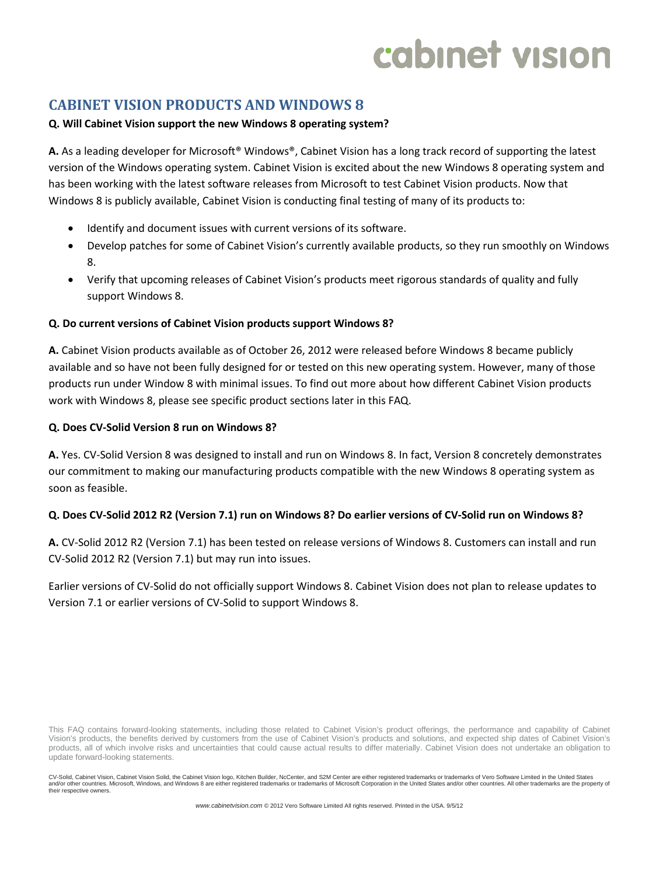# **CABINET VISION PRODUCTS AND WINDOWS 8**

# **Q. Will Cabinet Vision support the new Windows 8 operating system?**

**A.** As a leading developer for Microsoft® Windows®, Cabinet Vision has a long track record of supporting the latest version of the Windows operating system. Cabinet Vision is excited about the new Windows 8 operating system and has been working with the latest software releases from Microsoft to test Cabinet Vision products. Now that Windows 8 is publicly available, Cabinet Vision is conducting final testing of many of its products to:

- Identify and document issues with current versions of its software.
- Develop patches for some of Cabinet Vision's currently available products, so they run smoothly on Windows 8.
- Verify that upcoming releases of Cabinet Vision's products meet rigorous standards of quality and fully support Windows 8.

### **Q. Do current versions of Cabinet Vision products support Windows 8?**

**A.** Cabinet Vision products available as of October 26, 2012 were released before Windows 8 became publicly available and so have not been fully designed for or tested on this new operating system. However, many of those products run under Window 8 with minimal issues. To find out more about how different Cabinet Vision products work with Windows 8, please see specific product sections later in this FAQ.

### **Q. Does CV-Solid Version 8 run on Windows 8?**

**A.** Yes. CV-Solid Version 8 was designed to install and run on Windows 8. In fact, Version 8 concretely demonstrates our commitment to making our manufacturing products compatible with the new Windows 8 operating system as soon as feasible.

### **Q. Does CV-Solid 2012 R2 (Version 7.1) run on Windows 8? Do earlier versions of CV-Solid run on Windows 8?**

**A.** CV-Solid 2012 R2 (Version 7.1) has been tested on release versions of Windows 8. Customers can install and run CV-Solid 2012 R2 (Version 7.1) but may run into issues.

Earlier versions of CV-Solid do not officially support Windows 8. Cabinet Vision does not plan to release updates to Version 7.1 or earlier versions of CV-Solid to support Windows 8.

This FAQ contains forward-looking statements, including those related to Cabinet Vision's product offerings, the performance and capability of Cabinet Vision's products, the benefits derived by customers from the use of Cabinet Vision's products and solutions, and expected ship dates of Cabinet Vision's products, all of which involve risks and uncertainties that could cause actual results to differ materially. Cabinet Vision does not undertake an obligation to update forward-looking statements.

CV-Solid, Cabinet Vision, Cabinet Vision Solid, the Cabinet Vision logo, Kitchen Builder, NcCenter, and S2M Center are either registered trademarks or trademarks of Vero Software Limited in the United States and/or other countries. Microsoft, Windows, and Windows 8 are either registered trademarks or trademarks of Microsoft Corporation in the United States and/or other countries. All other trademarks are the property of their respective owners.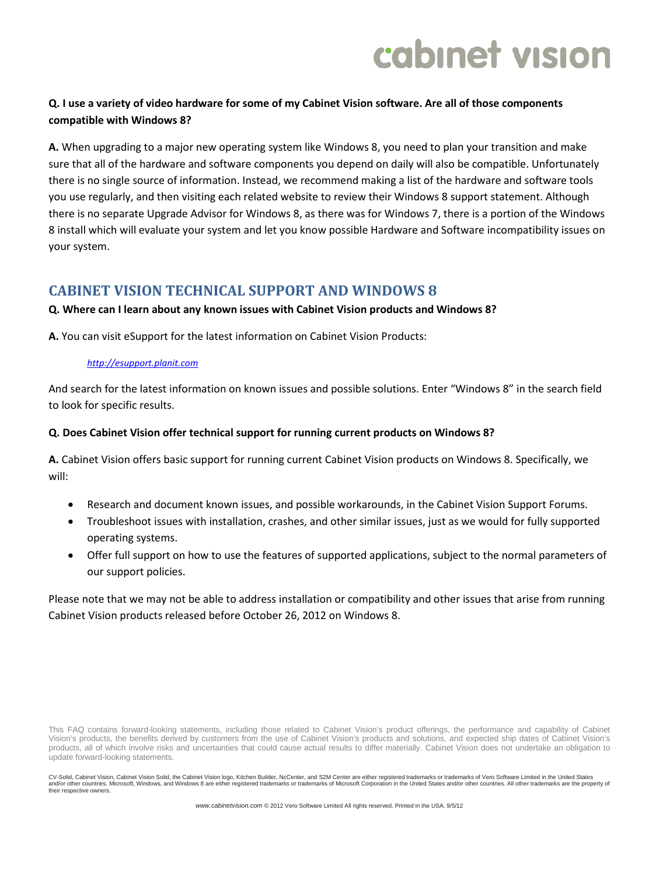# **Q. I use a variety of video hardware for some of my Cabinet Vision software. Are all of those components compatible with Windows 8?**

**A.** When upgrading to a major new operating system like Windows 8, you need to plan your transition and make sure that all of the hardware and software components you depend on daily will also be compatible. Unfortunately there is no single source of information. Instead, we recommend making a list of the hardware and software tools you use regularly, and then visiting each related website to review their Windows 8 support statement. Although there is no separate Upgrade Advisor for Windows 8, as there was for Windows 7, there is a portion of the Windows 8 install which will evaluate your system and let you know possible Hardware and Software incompatibility issues on your system.

# **CABINET VISION TECHNICAL SUPPORT AND WINDOWS 8**

## **Q. Where can I learn about any known issues with Cabinet Vision products and Windows 8?**

**A.** You can visit eSupport for the latest information on Cabinet Vision Products:

#### *[http://esupport.planit.com](http://esupport.planit.com/)*

And search for the latest information on known issues and possible solutions. Enter "Windows 8" in the search field to look for specific results.

### **Q. Does Cabinet Vision offer technical support for running current products on Windows 8?**

**A.** Cabinet Vision offers basic support for running current Cabinet Vision products on Windows 8. Specifically, we will:

- Research and document known issues, and possible workarounds, in the Cabinet Vision Support Forums.
- Troubleshoot issues with installation, crashes, and other similar issues, just as we would for fully supported operating systems.
- Offer full support on how to use the features of supported applications, subject to the normal parameters of our support policies.

Please note that we may not be able to address installation or compatibility and other issues that arise from running Cabinet Vision products released before October 26, 2012 on Windows 8.

This FAQ contains forward-looking statements, including those related to Cabinet Vision's product offerings, the performance and capability of Cabinet Vision's products, the benefits derived by customers from the use of Cabinet Vision's products and solutions, and expected ship dates of Cabinet Vision's products, all of which involve risks and uncertainties that could cause actual results to differ materially. Cabinet Vision does not undertake an obligation to update forward-looking statements.

CV-Solid, Cabinet Vision, Cabinet Vision Solid, the Cabinet Vision logo, Kitchen Builder, NcCenter, and S2M Center are either registered trademarks or trademarks of Vero Software Limited in the United States and/or other countries. Microsoft, Windows, and Windows 8 are either registered trademarks or trademarks of Microsoft Corporation in the United States and/or other countries. All other trademarks are the property of their respective owners.